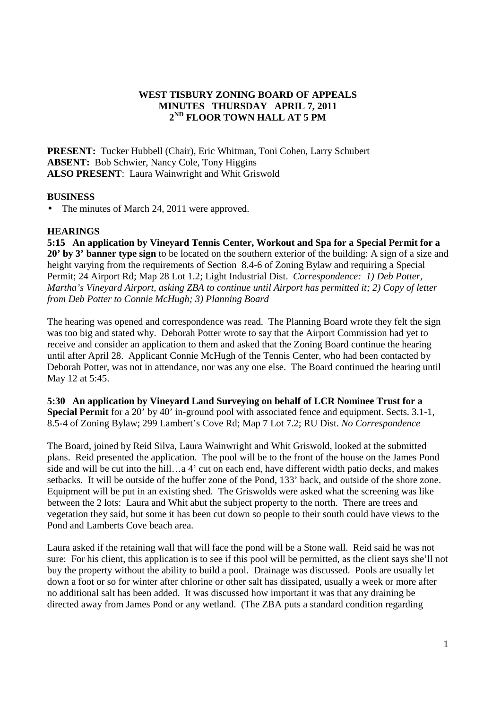## **WEST TISBURY ZONING BOARD OF APPEALS MINUTES THURSDAY APRIL 7, 2011 2 ND FLOOR TOWN HALL AT 5 PM**

**PRESENT:** Tucker Hubbell (Chair), Eric Whitman, Toni Cohen, Larry Schubert **ABSENT:** Bob Schwier, Nancy Cole, Tony Higgins **ALSO PRESENT**: Laura Wainwright and Whit Griswold

## **BUSINESS**

• The minutes of March 24, 2011 were approved.

## **HEARINGS**

**5:15 An application by Vineyard Tennis Center, Workout and Spa for a Special Permit for a 20' by 3' banner type sign** to be located on the southern exterior of the building: A sign of a size and height varying from the requirements of Section 8.4-6 of Zoning Bylaw and requiring a Special Permit; 24 Airport Rd; Map 28 Lot 1.2; Light Industrial Dist. *Correspondence: 1) Deb Potter, Martha's Vineyard Airport, asking ZBA to continue until Airport has permitted it; 2) Copy of letter from Deb Potter to Connie McHugh; 3) Planning Board*

The hearing was opened and correspondence was read. The Planning Board wrote they felt the sign was too big and stated why. Deborah Potter wrote to say that the Airport Commission had yet to receive and consider an application to them and asked that the Zoning Board continue the hearing until after April 28. Applicant Connie McHugh of the Tennis Center, who had been contacted by Deborah Potter, was not in attendance, nor was any one else. The Board continued the hearing until May 12 at 5:45.

**5:30 An application by Vineyard Land Surveying on behalf of LCR Nominee Trust for a Special Permit** for a 20' by 40' in-ground pool with associated fence and equipment. Sects. 3.1-1, 8.5-4 of Zoning Bylaw; 299 Lambert's Cove Rd; Map 7 Lot 7.2; RU Dist. *No Correspondence* 

The Board, joined by Reid Silva, Laura Wainwright and Whit Griswold, looked at the submitted plans. Reid presented the application. The pool will be to the front of the house on the James Pond side and will be cut into the hill…a 4' cut on each end, have different width patio decks, and makes setbacks. It will be outside of the buffer zone of the Pond, 133' back, and outside of the shore zone. Equipment will be put in an existing shed. The Griswolds were asked what the screening was like between the 2 lots: Laura and Whit abut the subject property to the north. There are trees and vegetation they said, but some it has been cut down so people to their south could have views to the Pond and Lamberts Cove beach area.

Laura asked if the retaining wall that will face the pond will be a Stone wall. Reid said he was not sure: For his client, this application is to see if this pool will be permitted, as the client says she'll not buy the property without the ability to build a pool. Drainage was discussed. Pools are usually let down a foot or so for winter after chlorine or other salt has dissipated, usually a week or more after no additional salt has been added. It was discussed how important it was that any draining be directed away from James Pond or any wetland. (The ZBA puts a standard condition regarding